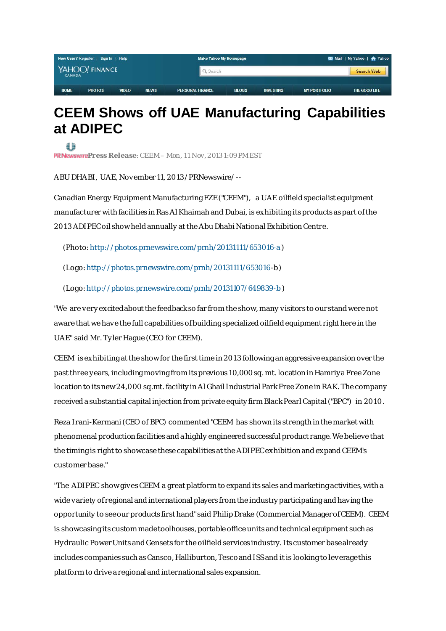| New User? Register   Sign In   Help |                |              |             | <b>Make Yahoo My Homepage</b> |              |                  | Mail   My Yahoo   A Yahoo |               |
|-------------------------------------|----------------|--------------|-------------|-------------------------------|--------------|------------------|---------------------------|---------------|
| <b>CANADA</b>                       | YAHOO! FINANCE |              |             |                               | Q Search     |                  |                           |               |
| <b>HOME</b>                         | <b>PHOTOS</b>  | <b>VIDEO</b> | <b>NEWS</b> | <b>PERSONAL FINANCE</b>       | <b>BLOGS</b> | <b>INVESTING</b> | <b>MY PORTFOLIO</b>       | THE GOOD LIFE |

## **CEEM Shows off UAE Manufacturing Capabilities at ADIPEC**

₫ħ PRNewswirePress Release: CEEM – Mon, 11 Nov, 2013 1:09 PM EST

ABU DHABI, UAE, November 11, 2013 /PRNewswire/ --

Canadian Energy Equipment Manufacturing FZE ("CEEM"), a UAE oilfield specialist equipment manufacturer with facilities in Ras Al Khaimah and Dubai, is exhibiting its products as part of the 2013 ADIPEC oil show held annually at the Abu Dhabi National Exhibition Centre.

(Photo: <http://photos.prnewswire.com/prnh/20131111/653016-a> )

(Logo: [http://photos.prnewswire.com/prnh/20131111/653016](http://photos.prnewswire.com/prnh/20131111/653016-b)-b )

(Logo: <http://photos.prnewswire.com/prnh/20131107/649839-b> )

"We are very excited about the feedback so far from the show, many visitors to our stand were not aware that we have the full capabilities of building specialized oilfield equipment right here in the UAE" said Mr. Ty ler Hague (CEO for CEEM).

CEEM is exhibiting at the show for the first time in 2013 following an aggressive expansion over the past three y ears, including moving from its previous 10,000 sq. mt. location in Hamriy a Free Zone location to its new 24,000 sq.mt. facility in Al Ghail Industrial Park Free Zone in RAK. The company received a substantial capital injection from private equity firm Black Pearl Capital ("BPC") in 2010.

Reza Irani-Kermani (CEO of BPC) commented "CEEM has shown its strength in the market with phenomenal production facilities and a highly engineered successful product range. We believe that the timing is right to showcase these capabilities at the ADIPEC exhibition and expand CEEM's customer base."

"The ADIPEC show gives CEEM a great platform to expand its sales and marketing activities, with a wide variety of regional and international players from the industry participating and having the opportunity to see our products first hand" said Philip Drake (Commercial Manager of CEEM). CEEM is showcasing its custom made toolhouses, portable office units and technical equipment such as Hy draulic Power Units and Gensets for the oilfield services industry. Its customer base already includes companies such as Cansco, Halliburton, Tesco and ISS and it is looking to leverage this platform to drive a regional and international sales expansion.